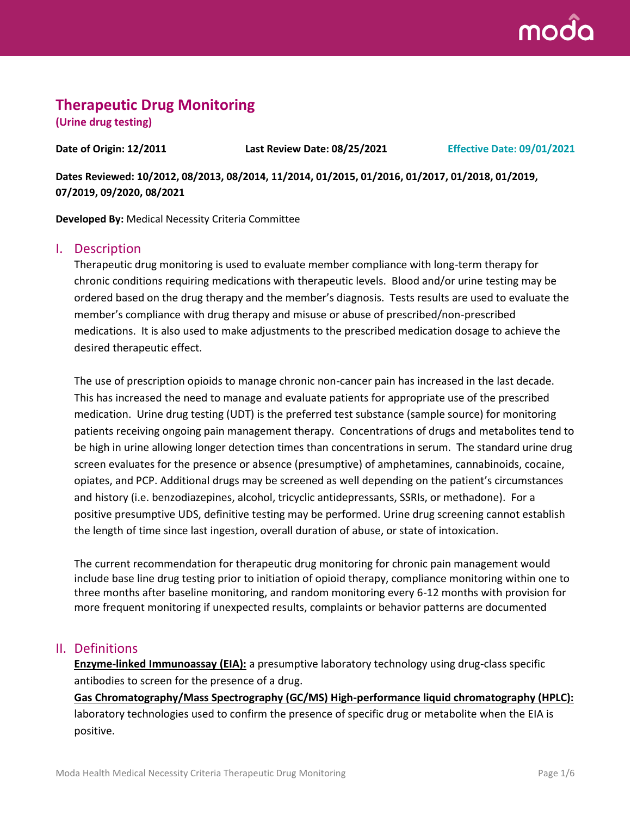

# **Therapeutic Drug Monitoring**

**(Urine drug testing)**

**Date of Origin: 12/2011 Last Review Date: 08/25/2021 Effective Date: 09/01/2021**

**Dates Reviewed: 10/2012, 08/2013, 08/2014, 11/2014, 01/2015, 01/2016, 01/2017, 01/2018, 01/2019, 07/2019, 09/2020, 08/2021**

**Developed By:** Medical Necessity Criteria Committee

#### I. Description

Therapeutic drug monitoring is used to evaluate member compliance with long-term therapy for chronic conditions requiring medications with therapeutic levels. Blood and/or urine testing may be ordered based on the drug therapy and the member's diagnosis. Tests results are used to evaluate the member's compliance with drug therapy and misuse or abuse of prescribed/non-prescribed medications. It is also used to make adjustments to the prescribed medication dosage to achieve the desired therapeutic effect.

The use of prescription opioids to manage chronic non-cancer pain has increased in the last decade. This has increased the need to manage and evaluate patients for appropriate use of the prescribed medication. Urine drug testing (UDT) is the preferred test substance (sample source) for monitoring patients receiving ongoing pain management therapy. Concentrations of drugs and metabolites tend to be high in urine allowing longer detection times than concentrations in serum. The standard urine drug screen evaluates for the presence or absence (presumptive) of amphetamines, cannabinoids, cocaine, opiates, and PCP. Additional drugs may be screened as well depending on the patient's circumstances and history (i.e. benzodiazepines, alcohol, tricyclic antidepressants, SSRIs, or methadone). For a positive presumptive UDS, definitive testing may be performed. Urine drug screening cannot establish the length of time since last ingestion, overall duration of abuse, or state of intoxication.

The current recommendation for therapeutic drug monitoring for chronic pain management would include base line drug testing prior to initiation of opioid therapy, compliance monitoring within one to three months after baseline monitoring, and random monitoring every 6-12 months with provision for more frequent monitoring if unexpected results, complaints or behavior patterns are documented

#### II. Definitions

**Enzyme-linked Immunoassay (EIA):** a presumptive laboratory technology using drug-class specific antibodies to screen for the presence of a drug.

**Gas Chromatography/Mass Spectrography (GC/MS) High-performance liquid chromatography (HPLC):** laboratory technologies used to confirm the presence of specific drug or metabolite when the EIA is positive.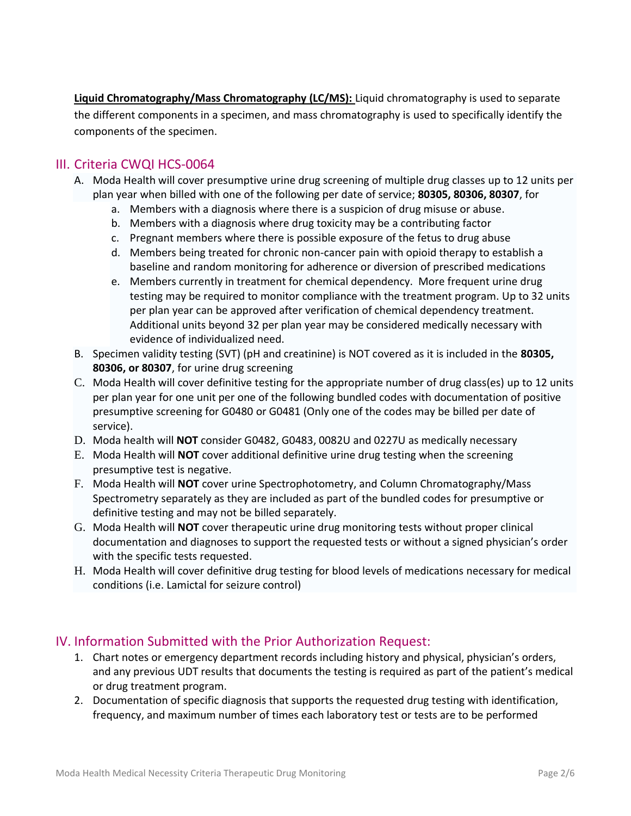**Liquid Chromatography/Mass Chromatography (LC/MS):** Liquid chromatography is used to separate the different components in a specimen, and mass chromatography is used to specifically identify the components of the specimen.

## III. Criteria CWQI HCS-0064

- A. Moda Health will cover presumptive urine drug screening of multiple drug classes up to 12 units per plan year when billed with one of the following per date of service; **80305, 80306, 80307**, for
	- a. Members with a diagnosis where there is a suspicion of drug misuse or abuse.
	- b. Members with a diagnosis where drug toxicity may be a contributing factor
	- c. Pregnant members where there is possible exposure of the fetus to drug abuse
	- d. Members being treated for chronic non-cancer pain with opioid therapy to establish a baseline and random monitoring for adherence or diversion of prescribed medications
	- e. Members currently in treatment for chemical dependency. More frequent urine drug testing may be required to monitor compliance with the treatment program. Up to 32 units per plan year can be approved after verification of chemical dependency treatment. Additional units beyond 32 per plan year may be considered medically necessary with evidence of individualized need.
- B. Specimen validity testing (SVT) (pH and creatinine) is NOT covered as it is included in the **80305, 80306, or 80307**, for urine drug screening
- C. Moda Health will cover definitive testing for the appropriate number of drug class(es) up to 12 units per plan year for one unit per one of the following bundled codes with documentation of positive presumptive screening for G0480 or G0481 (Only one of the codes may be billed per date of service).
- D. Moda health will **NOT** consider G0482, G0483, 0082U and 0227U as medically necessary
- E. Moda Health will **NOT** cover additional definitive urine drug testing when the screening presumptive test is negative.
- F. Moda Health will **NOT** cover urine Spectrophotometry, and Column Chromatography/Mass Spectrometry separately as they are included as part of the bundled codes for presumptive or definitive testing and may not be billed separately.
- G. Moda Health will **NOT** cover therapeutic urine drug monitoring tests without proper clinical documentation and diagnoses to support the requested tests or without a signed physician's order with the specific tests requested.
- H. Moda Health will cover definitive drug testing for blood levels of medications necessary for medical conditions (i.e. Lamictal for seizure control)

## IV. Information Submitted with the Prior Authorization Request:

- 1. Chart notes or emergency department records including history and physical, physician's orders, and any previous UDT results that documents the testing is required as part of the patient's medical or drug treatment program.
- 2. Documentation of specific diagnosis that supports the requested drug testing with identification, frequency, and maximum number of times each laboratory test or tests are to be performed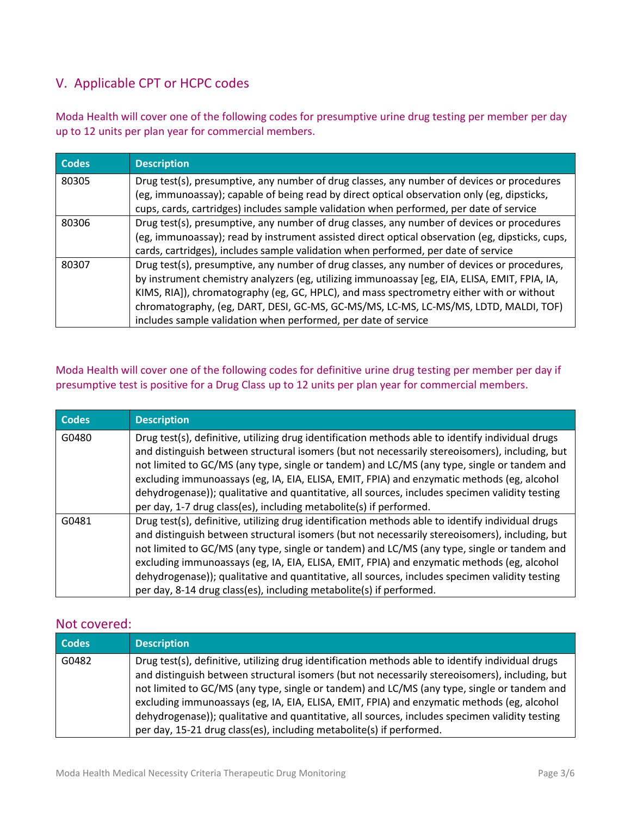# V. Applicable CPT or HCPC codes

Moda Health will cover one of the following codes for presumptive urine drug testing per member per day up to 12 units per plan year for commercial members.

| <b>Codes</b> | <b>Description</b>                                                                                                                                                                                                                                                                                                                                                                                                                                 |
|--------------|----------------------------------------------------------------------------------------------------------------------------------------------------------------------------------------------------------------------------------------------------------------------------------------------------------------------------------------------------------------------------------------------------------------------------------------------------|
| 80305        | Drug test(s), presumptive, any number of drug classes, any number of devices or procedures<br>(eg, immunoassay); capable of being read by direct optical observation only (eg, dipsticks,<br>cups, cards, cartridges) includes sample validation when performed, per date of service                                                                                                                                                               |
| 80306        | Drug test(s), presumptive, any number of drug classes, any number of devices or procedures<br>(eg, immunoassay); read by instrument assisted direct optical observation (eg, dipsticks, cups,<br>cards, cartridges), includes sample validation when performed, per date of service                                                                                                                                                                |
| 80307        | Drug test(s), presumptive, any number of drug classes, any number of devices or procedures,<br>by instrument chemistry analyzers (eg, utilizing immunoassay [eg, EIA, ELISA, EMIT, FPIA, IA,<br>KIMS, RIA]), chromatography (eg, GC, HPLC), and mass spectrometry either with or without<br>chromatography, (eg, DART, DESI, GC-MS, GC-MS/MS, LC-MS, LC-MS/MS, LDTD, MALDI, TOF)<br>includes sample validation when performed, per date of service |

### Moda Health will cover one of the following codes for definitive urine drug testing per member per day if presumptive test is positive for a Drug Class up to 12 units per plan year for commercial members.

| <b>Codes</b> | <b>Description</b>                                                                                                                                                                                                                                                                                                                                                                                                                                                                                                                                                        |
|--------------|---------------------------------------------------------------------------------------------------------------------------------------------------------------------------------------------------------------------------------------------------------------------------------------------------------------------------------------------------------------------------------------------------------------------------------------------------------------------------------------------------------------------------------------------------------------------------|
| G0480        | Drug test(s), definitive, utilizing drug identification methods able to identify individual drugs<br>and distinguish between structural isomers (but not necessarily stereoisomers), including, but<br>not limited to GC/MS (any type, single or tandem) and LC/MS (any type, single or tandem and<br>excluding immunoassays (eg, IA, EIA, ELISA, EMIT, FPIA) and enzymatic methods (eg, alcohol<br>dehydrogenase)); qualitative and quantitative, all sources, includes specimen validity testing<br>per day, 1-7 drug class(es), including metabolite(s) if performed.  |
| G0481        | Drug test(s), definitive, utilizing drug identification methods able to identify individual drugs<br>and distinguish between structural isomers (but not necessarily stereoisomers), including, but<br>not limited to GC/MS (any type, single or tandem) and LC/MS (any type, single or tandem and<br>excluding immunoassays (eg, IA, EIA, ELISA, EMIT, FPIA) and enzymatic methods (eg, alcohol<br>dehydrogenase)); qualitative and quantitative, all sources, includes specimen validity testing<br>per day, 8-14 drug class(es), including metabolite(s) if performed. |

#### Not covered:

| <b>Codes</b> | <b>Description</b>                                                                                                                                                                                                                                                                                                                                                                                                                                                                                                                                                         |
|--------------|----------------------------------------------------------------------------------------------------------------------------------------------------------------------------------------------------------------------------------------------------------------------------------------------------------------------------------------------------------------------------------------------------------------------------------------------------------------------------------------------------------------------------------------------------------------------------|
| G0482        | Drug test(s), definitive, utilizing drug identification methods able to identify individual drugs<br>and distinguish between structural isomers (but not necessarily stereoisomers), including, but<br>not limited to GC/MS (any type, single or tandem) and LC/MS (any type, single or tandem and<br>excluding immunoassays (eg, IA, EIA, ELISA, EMIT, FPIA) and enzymatic methods (eg, alcohol<br>dehydrogenase)); qualitative and quantitative, all sources, includes specimen validity testing<br>per day, 15-21 drug class(es), including metabolite(s) if performed. |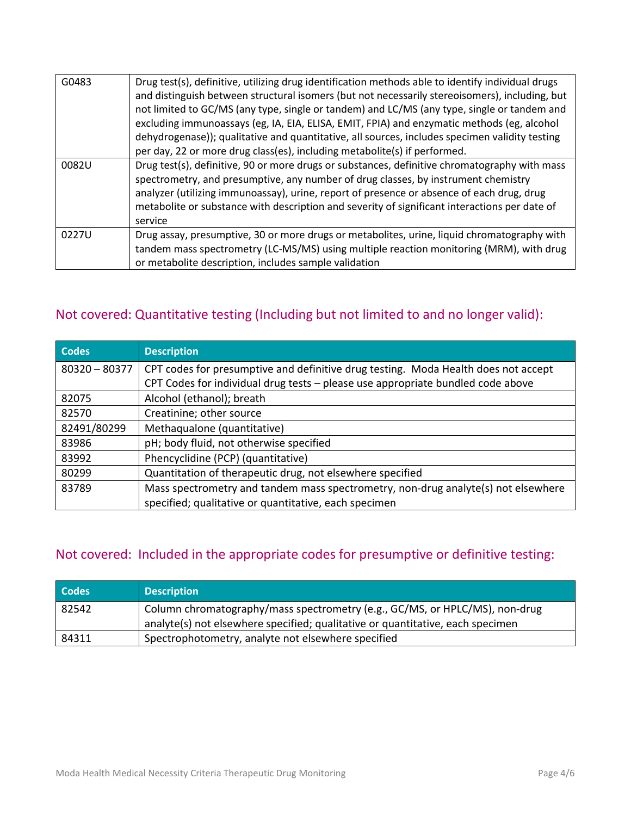| G0483 | Drug test(s), definitive, utilizing drug identification methods able to identify individual drugs<br>and distinguish between structural isomers (but not necessarily stereoisomers), including, but<br>not limited to GC/MS (any type, single or tandem) and LC/MS (any type, single or tandem and<br>excluding immunoassays (eg, IA, EIA, ELISA, EMIT, FPIA) and enzymatic methods (eg, alcohol<br>dehydrogenase)); qualitative and quantitative, all sources, includes specimen validity testing<br>per day, 22 or more drug class(es), including metabolite(s) if performed. |
|-------|---------------------------------------------------------------------------------------------------------------------------------------------------------------------------------------------------------------------------------------------------------------------------------------------------------------------------------------------------------------------------------------------------------------------------------------------------------------------------------------------------------------------------------------------------------------------------------|
| 0082U | Drug test(s), definitive, 90 or more drugs or substances, definitive chromatography with mass<br>spectrometry, and presumptive, any number of drug classes, by instrument chemistry<br>analyzer (utilizing immunoassay), urine, report of presence or absence of each drug, drug<br>metabolite or substance with description and severity of significant interactions per date of<br>service                                                                                                                                                                                    |
| 0227U | Drug assay, presumptive, 30 or more drugs or metabolites, urine, liquid chromatography with<br>tandem mass spectrometry (LC-MS/MS) using multiple reaction monitoring (MRM), with drug<br>or metabolite description, includes sample validation                                                                                                                                                                                                                                                                                                                                 |

# Not covered: Quantitative testing (Including but not limited to and no longer valid):

| <b>Codes</b>    | <b>Description</b>                                                                 |
|-----------------|------------------------------------------------------------------------------------|
| $80320 - 80377$ | CPT codes for presumptive and definitive drug testing. Moda Health does not accept |
|                 | CPT Codes for individual drug tests - please use appropriate bundled code above    |
| 82075           | Alcohol (ethanol); breath                                                          |
| 82570           | Creatinine; other source                                                           |
| 82491/80299     | Methaqualone (quantitative)                                                        |
| 83986           | pH; body fluid, not otherwise specified                                            |
| 83992           | Phencyclidine (PCP) (quantitative)                                                 |
| 80299           | Quantitation of therapeutic drug, not elsewhere specified                          |
| 83789           | Mass spectrometry and tandem mass spectrometry, non-drug analyte(s) not elsewhere  |
|                 | specified; qualitative or quantitative, each specimen                              |

# Not covered: Included in the appropriate codes for presumptive or definitive testing:

| <b>Codes</b> | <b>Description</b>                                                             |
|--------------|--------------------------------------------------------------------------------|
| 82542        | Column chromatography/mass spectrometry (e.g., GC/MS, or HPLC/MS), non-drug    |
|              | analyte(s) not elsewhere specified; qualitative or quantitative, each specimen |
| 84311        | Spectrophotometry, analyte not elsewhere specified                             |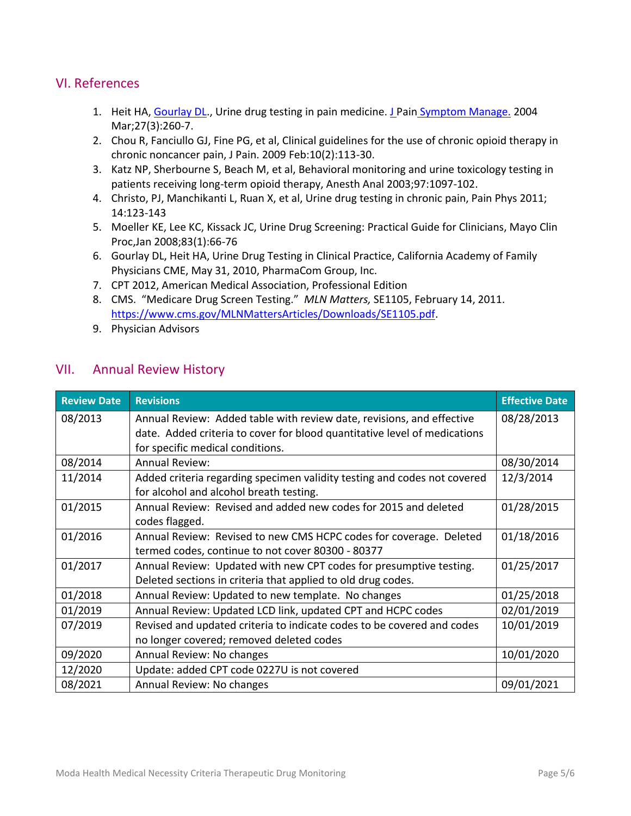## VI. References

- 1. Heit HA, Gourlay DL., Urine drug testing in pain medicine. J Pain [Symptom Manage.](http://www.ncbi.nlm.nih.gov/pubmed/15010104) 2004 Mar;27(3):260-7.
- 2. Chou R, Fanciullo GJ, Fine PG, et al, Clinical guidelines for the use of chronic opioid therapy in chronic noncancer pain, J Pain. 2009 Feb:10(2):113-30.
- 3. Katz NP, Sherbourne S, Beach M, et al, Behavioral monitoring and urine toxicology testing in patients receiving long-term opioid therapy, Anesth Anal 2003;97:1097-102.
- 4. Christo, PJ, Manchikanti L, Ruan X, et al, Urine drug testing in chronic pain, Pain Phys 2011; 14:123-143
- 5. Moeller KE, Lee KC, Kissack JC, Urine Drug Screening: Practical Guide for Clinicians, Mayo Clin Proc,Jan 2008;83(1):66-76
- 6. Gourlay DL, Heit HA, Urine Drug Testing in Clinical Practice, California Academy of Family Physicians CME, May 31, 2010, PharmaCom Group, Inc.
- 7. CPT 2012, American Medical Association, Professional Edition
- 8. CMS. "Medicare Drug Screen Testing." *MLN Matters,* SE1105, February 14, 2011. [https://www.cms.gov/MLNMattersArticles/Downloads/SE1105.pdf.](https://www.cms.gov/MLNMattersArticles/Downloads/SE1105.pdf)
- 9. Physician Advisors

### VII. Annual Review History

| <b>Review Date</b> | <b>Revisions</b>                                                          | <b>Effective Date</b> |
|--------------------|---------------------------------------------------------------------------|-----------------------|
| 08/2013            | Annual Review: Added table with review date, revisions, and effective     | 08/28/2013            |
|                    | date. Added criteria to cover for blood quantitative level of medications |                       |
|                    | for specific medical conditions.                                          |                       |
| 08/2014            | <b>Annual Review:</b>                                                     | 08/30/2014            |
| 11/2014            | Added criteria regarding specimen validity testing and codes not covered  | 12/3/2014             |
|                    | for alcohol and alcohol breath testing.                                   |                       |
| 01/2015            | Annual Review: Revised and added new codes for 2015 and deleted           | 01/28/2015            |
|                    | codes flagged.                                                            |                       |
| 01/2016            | Annual Review: Revised to new CMS HCPC codes for coverage. Deleted        | 01/18/2016            |
|                    | termed codes, continue to not cover 80300 - 80377                         |                       |
| 01/2017            | Annual Review: Updated with new CPT codes for presumptive testing.        | 01/25/2017            |
|                    | Deleted sections in criteria that applied to old drug codes.              |                       |
| 01/2018            | Annual Review: Updated to new template. No changes                        | 01/25/2018            |
| 01/2019            | Annual Review: Updated LCD link, updated CPT and HCPC codes               | 02/01/2019            |
| 07/2019            | Revised and updated criteria to indicate codes to be covered and codes    | 10/01/2019            |
|                    | no longer covered; removed deleted codes                                  |                       |
| 09/2020            | Annual Review: No changes                                                 | 10/01/2020            |
| 12/2020            | Update: added CPT code 0227U is not covered                               |                       |
| 08/2021            | Annual Review: No changes                                                 | 09/01/2021            |